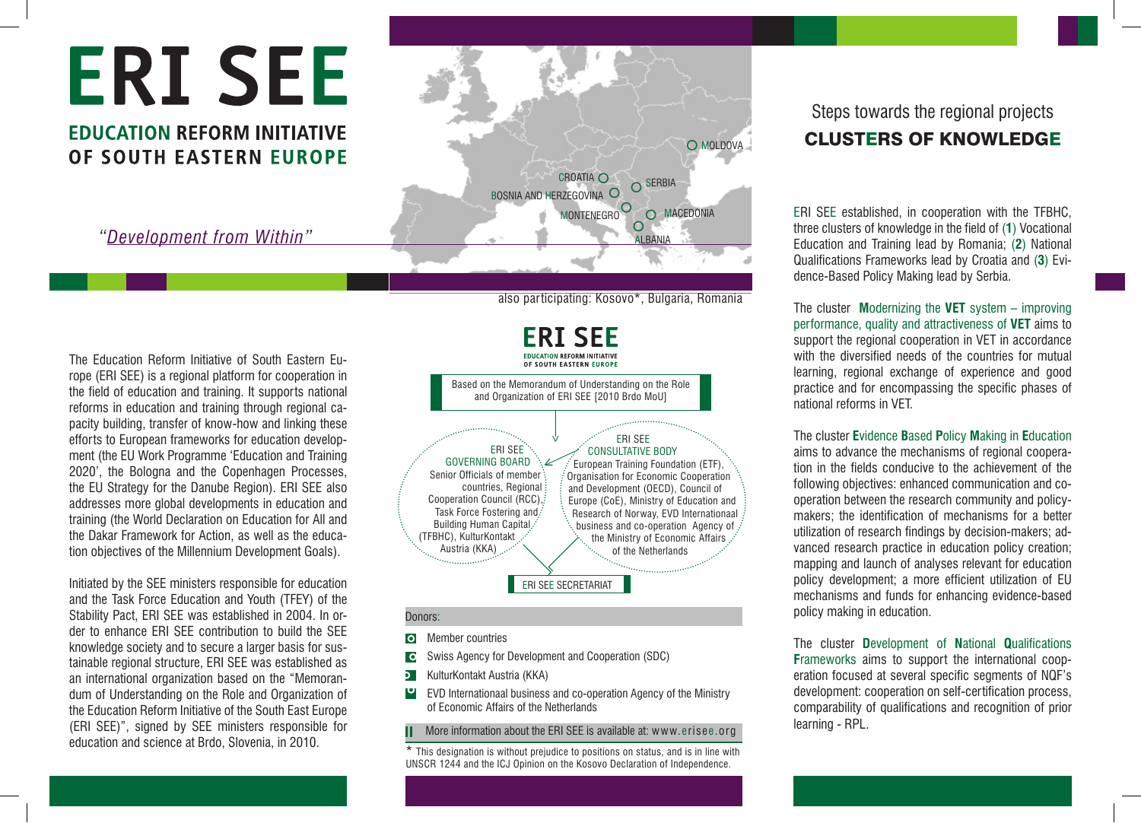# **ERISEE**

## **EDUCATION REFORM INITIATIVE** OF SOUTH EASTERN EUROPE

*"Development from Within"*

O MOLDOVA CROATIA O SERBIA BOSNIA AND HERZEGOVINA O MONTENEGRO<sup>O</sup> **O** MACEDONIA  $\circ$ ALBANIA

also participating: Kosovo\*, Bulgaria, Romania

The Education Reform Initiative of South Eastern Europe (ERI SEE) is a regional platform for cooperation in the field of education and training. It supports national reforms in education and training through regional capacity building, transfer of know-how and linking these efforts to European frameworks for education development (the EU Work Programme 'Education and Training 2020', the Bologna and the Copenhagen Processes, the EU Strategy for the Danube Region). ERI SEE also addresses more global developments in education and training (the World Declaration on Education for All and the Dakar Framework for Action, as well as the education objectives of the Millennium Development Goals).

Initiated by the SEE ministers responsible for education and the Task Force Education and Youth (TFEY) of the Stability Pact, ERI SEE was established in 2004. In order to enhance ERI SEE contribution to build the SEE knowledge society and to secure a larger basis for sustainable regional structure, ERI SEE was established as an international organization based on the "Memorandum of Understanding on the Role and Organization of the Education Reform Initiative of the South East Europe (ERI SEE)", signed by SEE ministers responsible for education and science at Brdo, Slovenia, in 2010.



#### Donors:

- **O** Member countries
- Swiss Agency for Development and Cooperation (SDC)  $\overline{\phantom{a}}$
- **D** KulturKontakt Austria (KKA)
- p EVD Internationaal business and co-operation Agency of the Ministry of Economic Affairs of the Netherlands

**II** More information about the ERI SEE is available at: www.erisee.org

\* This designation is without prejudice to positions on status, and is in line with UNSCR 1244 and the ICJ Opinion on the Kosovo Declaration of Independence.

## Steps towards the regional projects CLUSTERS OF KNOWLEDGE

ERI SEE established, in cooperation with the TFBHC, three clusters of knowledge in the field of (**1**) Vocational Education and Training lead by Romania; (**2**) National Qualifications Frameworks lead by Croatia and (**3**) Evidence-Based Policy Making lead by Serbia.

The cluster **M**odernizing the **VET** system – improving performance, quality and attractiveness of **VET** aims to support the regional cooperation in VET in accordance with the diversified needs of the countries for mutual learning, regional exchange of experience and good practice and for encompassing the specific phases of national reforms in VET.

The cluster **E**vidence **B**ased **P**olicy **M**aking in **E**ducation aims to advance the mechanisms of regional cooperation in the fields conducive to the achievement of the following objectives: enhanced communication and cooperation between the research community and policymakers; the identification of mechanisms for a better utilization of research findings by decision-makers; advanced research practice in education policy creation; mapping and launch of analyses relevant for education policy development; a more efficient utilization of EU mechanisms and funds for enhancing evidence-based policy making in education.

The cluster **D**evelopment of **N**ational **Q**ualifications **F**rameworks aims to support the international cooperation focused at several specific segments of NQF's development: cooperation on self-certification process, comparability of qualifications and recognition of prior learning - RPL.